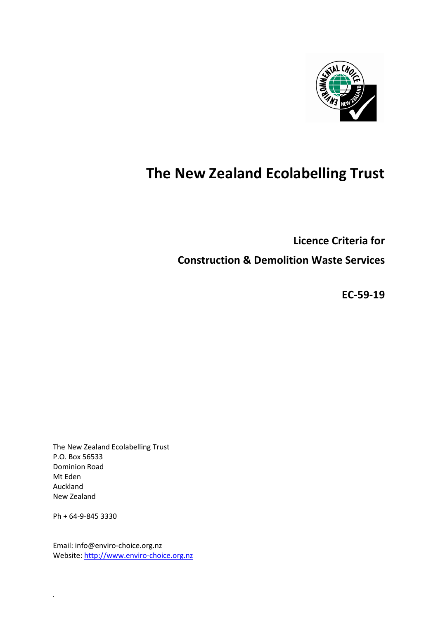

# **The New Zealand Ecolabelling Trust**

**Licence Criteria for** 

**Construction & Demolition Waste Services**

**EC-59-19**

The New Zealand Ecolabelling Trust P.O. Box 56533 Dominion Road Mt Eden Auckland New Zealand

Ph + 64-9-845 3330

*.*

Email: info@enviro-choice.org.nz Website[: http://www.enviro-choice.org.nz](http://www.enviro-choice.org.nz/)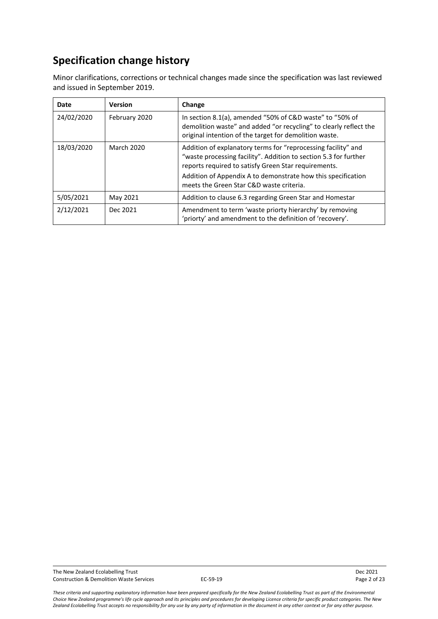## **Specification change history**

Minor clarifications, corrections or technical changes made since the specification was last reviewed and issued in September 2019.

| Date       | <b>Version</b>    | Change                                                                                                                                                                                                                                                                                                |  |
|------------|-------------------|-------------------------------------------------------------------------------------------------------------------------------------------------------------------------------------------------------------------------------------------------------------------------------------------------------|--|
| 24/02/2020 | February 2020     | In section 8.1(a), amended "50% of C&D waste" to "50% of<br>demolition waste" and added "or recycling" to clearly reflect the<br>original intention of the target for demolition waste.                                                                                                               |  |
| 18/03/2020 | <b>March 2020</b> | Addition of explanatory terms for "reprocessing facility" and<br>"waste processing facility". Addition to section 5.3 for further<br>reports required to satisfy Green Star requirements.<br>Addition of Appendix A to demonstrate how this specification<br>meets the Green Star C&D waste criteria. |  |
| 5/05/2021  | May 2021          | Addition to clause 6.3 regarding Green Star and Homestar                                                                                                                                                                                                                                              |  |
| 2/12/2021  | Dec 2021          | Amendment to term 'waste priorty hierarchy' by removing<br>'priorty' and amendment to the definition of 'recovery'.                                                                                                                                                                                   |  |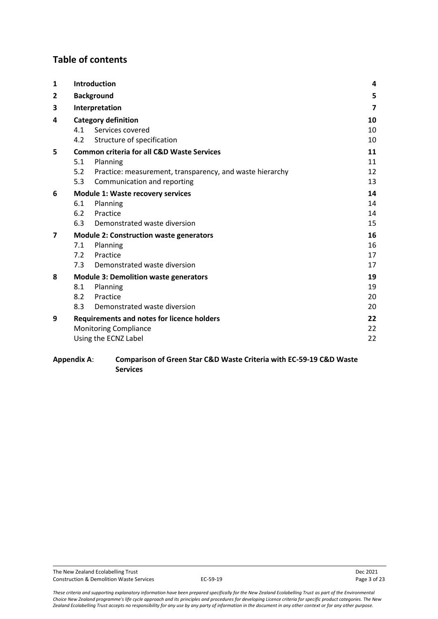## **Table of contents**

| $\mathbf{1}$ | <b>Introduction</b>                      |                                                          | 4                       |
|--------------|------------------------------------------|----------------------------------------------------------|-------------------------|
| 2            | <b>Background</b>                        |                                                          | 5                       |
| 3            |                                          | Interpretation                                           | $\overline{\mathbf{z}}$ |
| 4            | <b>Category definition</b>               |                                                          | 10                      |
|              | 4.1                                      | Services covered                                         | 10                      |
|              | 4.2                                      | Structure of specification                               | 10                      |
| 5            |                                          | <b>Common criteria for all C&amp;D Waste Services</b>    | 11                      |
|              | 5.1                                      | Planning                                                 | 11                      |
|              | 5.2                                      | Practice: measurement, transparency, and waste hierarchy | 12                      |
|              | 5.3                                      | Communication and reporting                              | 13                      |
| 6            | <b>Module 1: Waste recovery services</b> |                                                          | 14                      |
|              | 6.1                                      | Planning                                                 | 14                      |
|              | 6.2                                      | Practice                                                 | 14                      |
|              | 6.3                                      | Demonstrated waste diversion                             | 15                      |
| 7            |                                          | <b>Module 2: Construction waste generators</b>           | 16                      |
|              | 7.1                                      | Planning                                                 | 16                      |
|              | 7.2                                      | Practice                                                 | 17                      |
|              | 7.3                                      | Demonstrated waste diversion                             | 17                      |
| 8            |                                          | <b>Module 3: Demolition waste generators</b>             | 19                      |
|              | 8.1                                      | Planning                                                 | 19                      |
|              | 8.2                                      | Practice                                                 | 20                      |
|              | 8.3                                      | Demonstrated waste diversion                             | 20                      |
| 9            |                                          | <b>Requirements and notes for licence holders</b>        | 22                      |
|              | <b>Monitoring Compliance</b>             |                                                          | 22                      |
|              |                                          | Using the ECNZ Label                                     | 22                      |

#### **Appendix A**: **Comparison of Green Star C&D Waste Criteria with EC-59-19 C&D Waste Services**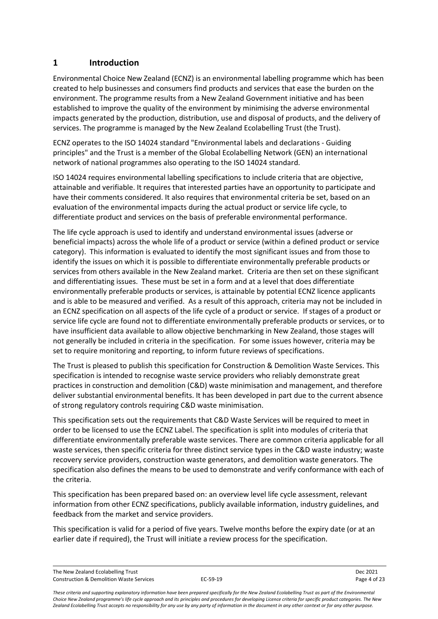## <span id="page-3-0"></span>**1 Introduction**

Environmental Choice New Zealand (ECNZ) is an environmental labelling programme which has been created to help businesses and consumers find products and services that ease the burden on the environment. The programme results from a New Zealand Government initiative and has been established to improve the quality of the environment by minimising the adverse environmental impacts generated by the production, distribution, use and disposal of products, and the delivery of services. The programme is managed by the New Zealand Ecolabelling Trust (the Trust).

ECNZ operates to the ISO 14024 standard "Environmental labels and declarations - Guiding principles" and the Trust is a member of the Global Ecolabelling Network (GEN) an international network of national programmes also operating to the ISO 14024 standard.

ISO 14024 requires environmental labelling specifications to include criteria that are objective, attainable and verifiable. It requires that interested parties have an opportunity to participate and have their comments considered. It also requires that environmental criteria be set, based on an evaluation of the environmental impacts during the actual product or service life cycle, to differentiate product and services on the basis of preferable environmental performance.

The life cycle approach is used to identify and understand environmental issues (adverse or beneficial impacts) across the whole life of a product or service (within a defined product or service category). This information is evaluated to identify the most significant issues and from those to identify the issues on which it is possible to differentiate environmentally preferable products or services from others available in the New Zealand market. Criteria are then set on these significant and differentiating issues. These must be set in a form and at a level that does differentiate environmentally preferable products or services, is attainable by potential ECNZ licence applicants and is able to be measured and verified. As a result of this approach, criteria may not be included in an ECNZ specification on all aspects of the life cycle of a product or service. If stages of a product or service life cycle are found not to differentiate environmentally preferable products or services, or to have insufficient data available to allow objective benchmarking in New Zealand, those stages will not generally be included in criteria in the specification. For some issues however, criteria may be set to require monitoring and reporting, to inform future reviews of specifications.

The Trust is pleased to publish this specification for Construction & Demolition Waste Services. This specification is intended to recognise waste service providers who reliably demonstrate great practices in construction and demolition (C&D) waste minimisation and management, and therefore deliver substantial environmental benefits. It has been developed in part due to the current absence of strong regulatory controls requiring C&D waste minimisation.

This specification sets out the requirements that C&D Waste Services will be required to meet in order to be licensed to use the ECNZ Label. The specification is split into modules of criteria that differentiate environmentally preferable waste services. There are common criteria applicable for all waste services, then specific criteria for three distinct service types in the C&D waste industry; waste recovery service providers, construction waste generators, and demolition waste generators. The specification also defines the means to be used to demonstrate and verify conformance with each of the criteria.

This specification has been prepared based on: an overview level life cycle assessment, relevant information from other ECNZ specifications, publicly available information, industry guidelines, and feedback from the market and service providers.

This specification is valid for a period of five years. Twelve months before the expiry date (or at an earlier date if required), the Trust will initiate a review process for the specification.

The New Zealand Ecolabelling Trust Dec 2021 Construction & Demolition Waste Services **EC-59-19** Page 4 of 23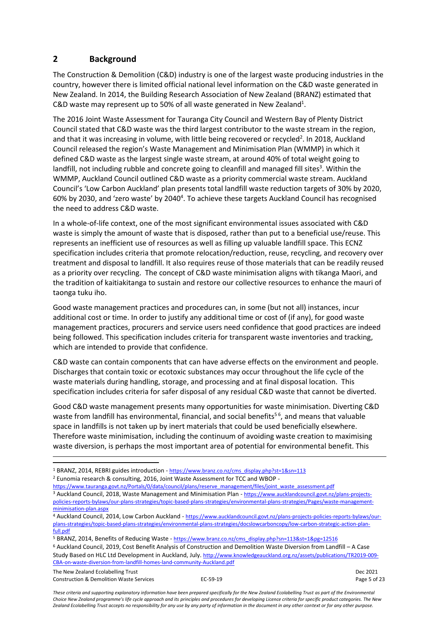## <span id="page-4-0"></span>**2 Background**

The Construction & Demolition (C&D) industry is one of the largest waste producing industries in the country, however there is limited official national level information on the C&D waste generated in New Zealand. In 2014, the Building Research Association of New Zealand (BRANZ) estimated that C&D waste may represent up to 50% of all waste generated in New Zealand<sup>1</sup>.

The 2016 Joint Waste Assessment for Tauranga City Council and Western Bay of Plenty District Council stated that C&D waste was the third largest contributor to the waste stream in the region, and that it was increasing in volume, with little being recovered or recycled<sup>2</sup>. In 2018, Auckland Council released the region's Waste Management and Minimisation Plan (WMMP) in which it defined C&D waste as the largest single waste stream, at around 40% of total weight going to landfill, not including rubble and concrete going to cleanfill and managed fill sites<sup>3</sup>. Within the WMMP, Auckland Council outlined C&D waste as a priority commercial waste stream. Auckland Council's 'Low Carbon Auckland' plan presents total landfill waste reduction targets of 30% by 2020, 60% by 2030, and 'zero waste' by 2040<sup>4</sup>. To achieve these targets Auckland Council has recognised the need to address C&D waste.

In a whole-of-life context, one of the most significant environmental issues associated with C&D waste is simply the amount of waste that is disposed, rather than put to a beneficial use/reuse. This represents an inefficient use of resources as well as filling up valuable landfill space. This ECNZ specification includes criteria that promote relocation/reduction, reuse, recycling, and recovery over treatment and disposal to landfill. It also requires reuse of those materials that can be readily reused as a priority over recycling. The concept of C&D waste minimisation aligns with tikanga Maori, and the tradition of kaitiakitanga to sustain and restore our collective resources to enhance the mauri of taonga tuku iho.

Good waste management practices and procedures can, in some (but not all) instances, incur additional cost or time. In order to justify any additional time or cost of (if any), for good waste management practices, procurers and service users need confidence that good practices are indeed being followed. This specification includes criteria for transparent waste inventories and tracking, which are intended to provide that confidence.

C&D waste can contain components that can have adverse effects on the environment and people. Discharges that contain toxic or ecotoxic substances may occur throughout the life cycle of the waste materials during handling, storage, and processing and at final disposal location. This specification includes criteria for safer disposal of any residual C&D waste that cannot be diverted.

Good C&D waste management presents many opportunities for waste minimisation. Diverting C&D waste from landfill has environmental, financial, and social benefits<sup>56</sup>, and means that valuable space in landfills is not taken up by inert materials that could be used beneficially elsewhere. Therefore waste minimisation, including the continuum of avoiding waste creation to maximising waste diversion, is perhaps the most important area of potential for environmental benefit. This

- <sup>2</sup> Eunomia research & consulting, 2016, Joint Waste Assessment for TCC and WBOP -
- [https://www.tauranga.govt.nz/Portals/0/data/council/plans/reserve\\_management/files/joint\\_waste\\_assessment.pdf](https://www.tauranga.govt.nz/Portals/0/data/council/plans/reserve_management/files/joint_waste_assessment.pdf) <sup>3</sup> Auckland Council, 2018, Waste Management and Minimisation Plan - [https://www.aucklandcouncil.govt.nz/plans-projects](https://www.aucklandcouncil.govt.nz/plans-projects-policies-reports-bylaws/our-plans-strategies/topic-based-plans-strategies/environmental-plans-strategies/Pages/waste-management-minimisation-plan.aspx)[policies-reports-bylaws/our-plans-strategies/topic-based-plans-strategies/environmental-plans-strategies/Pages/waste-management](https://www.aucklandcouncil.govt.nz/plans-projects-policies-reports-bylaws/our-plans-strategies/topic-based-plans-strategies/environmental-plans-strategies/Pages/waste-management-minimisation-plan.aspx)[minimisation-plan.aspx](https://www.aucklandcouncil.govt.nz/plans-projects-policies-reports-bylaws/our-plans-strategies/topic-based-plans-strategies/environmental-plans-strategies/Pages/waste-management-minimisation-plan.aspx)

The New Zealand Ecolabelling Trust Dec 2021 Construction & Demolition Waste Services **EC-59-19** Page 5 of 23

<sup>1</sup> BRANZ, 2014, REBRI guides introduction - [https://www.branz.co.nz/cms\\_display.php?st=1&sn=113](https://www.branz.co.nz/cms_display.php?st=1&sn=113)

<sup>4</sup> Auckland Council, 2014, Low Carbon Auckland - [https://www.aucklandcouncil.govt.nz/plans-projects-policies-reports-bylaws/our](https://www.aucklandcouncil.govt.nz/plans-projects-policies-reports-bylaws/our-plans-strategies/topic-based-plans-strategies/environmental-plans-strategies/docslowcarboncopy/low-carbon-strategic-action-plan-full.pdf)[plans-strategies/topic-based-plans-strategies/environmental-plans-strategies/docslowcarboncopy/low-carbon-strategic-action-plan](https://www.aucklandcouncil.govt.nz/plans-projects-policies-reports-bylaws/our-plans-strategies/topic-based-plans-strategies/environmental-plans-strategies/docslowcarboncopy/low-carbon-strategic-action-plan-full.pdf)full ndf

<sup>5</sup> BRANZ, 2014, Benefits of Reducing Waste - [https://www.branz.co.nz/cms\\_display.php?sn=113&st=1&pg=12516](https://www.branz.co.nz/cms_display.php?sn=113&st=1&pg=12516)

<sup>6</sup> Auckland Council, 2019, Cost Benefit Analysis of Construction and Demolition Waste Diversion from Landfill – A Case Study Based on HLC Ltd Development in Auckland, July. http://www.knowledgeauckland.org.nz/assets/publications/TR2019-009- CBA-on-waste-diversion-from-landfill-homes-land-community-Auckland.pdf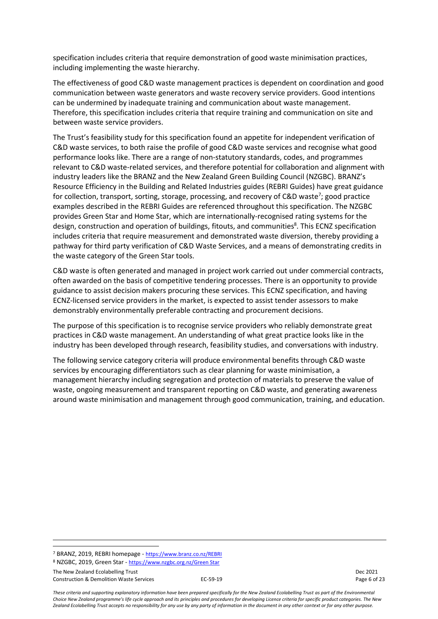specification includes criteria that require demonstration of good waste minimisation practices, including implementing the waste hierarchy.

The effectiveness of good C&D waste management practices is dependent on coordination and good communication between waste generators and waste recovery service providers. Good intentions can be undermined by inadequate training and communication about waste management. Therefore, this specification includes criteria that require training and communication on site and between waste service providers.

The Trust's feasibility study for this specification found an appetite for independent verification of C&D waste services, to both raise the profile of good C&D waste services and recognise what good performance looks like. There are a range of non-statutory standards, codes, and programmes relevant to C&D waste-related services, and therefore potential for collaboration and alignment with industry leaders like the BRANZ and the New Zealand Green Building Council (NZGBC). BRANZ's Resource Efficiency in the Building and Related Industries guides (REBRI Guides) have great guidance for collection, transport, sorting, storage, processing, and recovery of C&D waste<sup>7</sup>; good practice examples described in the REBRI Guides are referenced throughout this specification. The NZGBC provides Green Star and Home Star, which are internationally-recognised rating systems for the design, construction and operation of buildings, fitouts, and communities<sup>8</sup>. This ECNZ specification includes criteria that require measurement and demonstrated waste diversion, thereby providing a pathway for third party verification of C&D Waste Services, and a means of demonstrating credits in the waste category of the Green Star tools.

C&D waste is often generated and managed in project work carried out under commercial contracts, often awarded on the basis of competitive tendering processes. There is an opportunity to provide guidance to assist decision makers procuring these services. This ECNZ specification, and having ECNZ-licensed service providers in the market, is expected to assist tender assessors to make demonstrably environmentally preferable contracting and procurement decisions.

The purpose of this specification is to recognise service providers who reliably demonstrate great practices in C&D waste management. An understanding of what great practice looks like in the industry has been developed through research, feasibility studies, and conversations with industry.

The following service category criteria will produce environmental benefits through C&D waste services by encouraging differentiators such as clear planning for waste minimisation, a management hierarchy including segregation and protection of materials to preserve the value of waste, ongoing measurement and transparent reporting on C&D waste, and generating awareness around waste minimisation and management through good communication, training, and education.

The New Zealand Ecolabelling Trust Dec 2021 Construction & Demolition Waste Services **EC-59-19** Page 6 of 23

<sup>7</sup> BRANZ, 2019, REBRI homepage - <https://www.branz.co.nz/REBRI>

<sup>8</sup> NZGBC, 2019, Green Star - [https://www.nzgbc.org.nz/Green Star](https://www.nzgbc.org.nz/GreenStar)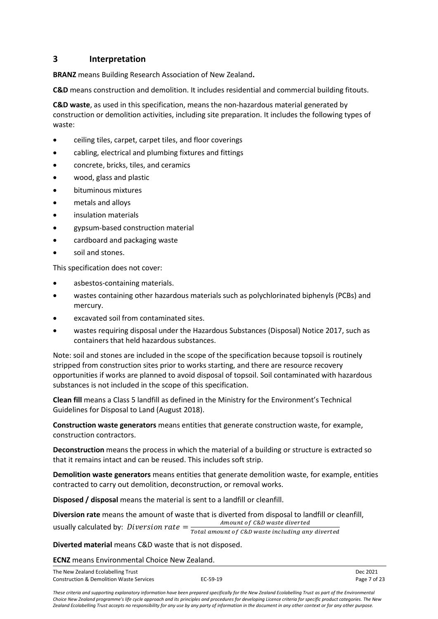### <span id="page-6-0"></span>**3 Interpretation**

**BRANZ** means Building Research Association of New Zealand**.**

**C&D** means construction and demolition. It includes residential and commercial building fitouts.

**C&D waste**, as used in this specification, means the non-hazardous material generated by construction or demolition activities, including site preparation. It includes the following types of waste:

- ceiling tiles, carpet, carpet tiles, and floor coverings
- cabling, electrical and plumbing fixtures and fittings
- concrete, bricks, tiles, and ceramics
- wood, glass and plastic
- bituminous mixtures
- metals and alloys
- insulation materials
- gypsum-based construction material
- cardboard and packaging waste
- soil and stones.

This specification does not cover:

- asbestos-containing materials.
- wastes containing other hazardous materials such as polychlorinated biphenyls (PCBs) and mercury.
- excavated soil from contaminated sites.
- wastes requiring disposal under the Hazardous Substances (Disposal) Notice 2017, such as containers that held hazardous substances.

Note: soil and stones are included in the scope of the specification because topsoil is routinely stripped from construction sites prior to works starting, and there are resource recovery opportunities if works are planned to avoid disposal of topsoil. Soil contaminated with hazardous substances is not included in the scope of this specification.

**Clean fill** means a Class 5 landfill as defined in the Ministry for the Environment's Technical Guidelines for Disposal to Land (August 2018).

**Construction waste generators** means entities that generate construction waste, for example, construction contractors.

**Deconstruction** means the process in which the material of a building or structure is extracted so that it remains intact and can be reused. This includes soft strip.

**Demolition waste generators** means entities that generate demolition waste, for example, entities contracted to carry out demolition, deconstruction, or removal works.

**Disposed / disposal** means the material is sent to a landfill or cleanfill.

**Diversion rate** means the amount of waste that is diverted from disposal to landfill or cleanfill, usually calculated by: *Diversion rate*  $=$   $\frac{3.000 \text{ mJg}}{Total amount of CBD waste including any diverted}$ Amount of C&D waste diverted

**Diverted material** means C&D waste that is not disposed.

**ECNZ** means Environmental Choice New Zealand.

| The New Zealand Ecolabelling Trust                  |            |              |
|-----------------------------------------------------|------------|--------------|
| <b>Construction &amp; Demolition Waste Services</b> | $EC-59-19$ | Page 7 of 23 |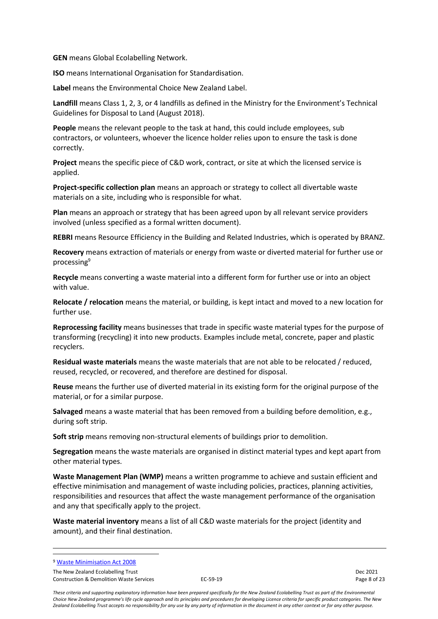**GEN** means Global Ecolabelling Network.

**ISO** means International Organisation for Standardisation.

**Label** means the Environmental Choice New Zealand Label.

**Landfill** means Class 1, 2, 3, or 4 landfills as defined in the Ministry for the Environment's Technical Guidelines for Disposal to Land (August 2018).

**People** means the relevant people to the task at hand, this could include employees, sub contractors, or volunteers, whoever the licence holder relies upon to ensure the task is done correctly.

**Project** means the specific piece of C&D work, contract, or site at which the licensed service is applied.

**Project-specific collection plan** means an approach or strategy to collect all divertable waste materials on a site, including who is responsible for what.

**Plan** means an approach or strategy that has been agreed upon by all relevant service providers involved (unless specified as a formal written document).

**REBRI** means Resource Efficiency in the Building and Related Industries, which is operated by BRANZ.

**Recovery** means extraction of materials or energy from waste or diverted material for further use or processing<sup>9</sup>

**Recycle** means converting a waste material into a different form for further use or into an object with value.

**Relocate / relocation** means the material, or building, is kept intact and moved to a new location for further use.

**Reprocessing facility** means businesses that trade in specific waste material types for the purpose of transforming (recycling) it into new products. Examples include metal, concrete, paper and plastic recyclers.

**Residual waste materials** means the waste materials that are not able to be relocated / reduced, reused, recycled, or recovered, and therefore are destined for disposal.

**Reuse** means the further use of diverted material in its existing form for the original purpose of the material, or for a similar purpose.

**Salvaged** means a waste material that has been removed from a building before demolition, e.g., during soft strip.

**Soft strip** means removing non-structural elements of buildings prior to demolition.

**Segregation** means the waste materials are organised in distinct material types and kept apart from other material types.

**Waste Management Plan (WMP)** means a written programme to achieve and sustain efficient and effective minimisation and management of waste including policies, practices, planning activities, responsibilities and resources that affect the waste management performance of the organisation and any that specifically apply to the project.

**Waste material inventory** means a list of all C&D waste materials for the project (identity and amount), and their final destination.

The New Zealand Ecolabelling Trust Dec 2021 Construction & Demolition Waste Services **EC-59-19** Page 8 of 23

<sup>9</sup> [Waste Minimisation Act 2008](https://apc01.safelinks.protection.outlook.com/?url=https%3A%2F%2Fwww.legislation.govt.nz%2Fact%2Fpublic%2F2008%2F0089%2Flatest%2FDLM1154502.html%3Fsearch%3Dsw_096be8ed81af5e40_recovery_25_se%26p%3D1%26sr%3D0&data=04%7C01%7C%7C7103f32726c34250b39708d99f00ba38%7C5a6c15cc1394406a92310d93dd9954ae%7C0%7C0%7C637715647752406268%7CUnknown%7CTWFpbGZsb3d8eyJWIjoiMC4wLjAwMDAiLCJQIjoiV2luMzIiLCJBTiI6Ik1haWwiLCJXVCI6Mn0%3D%7C1000&sdata=SzNNK41%2BptOipGKCQV5a0mfF0RlOrR4X1vxpyij3yZU%3D&reserved=0)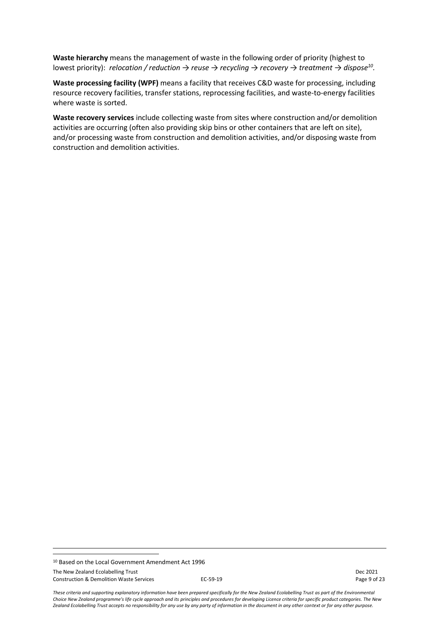**Waste hierarchy** means the management of waste in the following order of priority (highest to lowest priority): *relocation / reduction → reuse → recycling → recovery → treatment → dispose<sup>10</sup> .* 

**Waste processing facility (WPF)** means a facility that receives C&D waste for processing, including resource recovery facilities, transfer stations, reprocessing facilities, and waste-to-energy facilities where waste is sorted.

**Waste recovery services** include collecting waste from sites where construction and/or demolition activities are occurring (often also providing skip bins or other containers that are left on site), and/or processing waste from construction and demolition activities, and/or disposing waste from construction and demolition activities.

The New Zealand Ecolabelling Trust Dec 2021 Construction & Demolition Waste Services **EC-59-19** Page 9 of 23

<sup>10</sup> Based on the Local Government Amendment Act 1996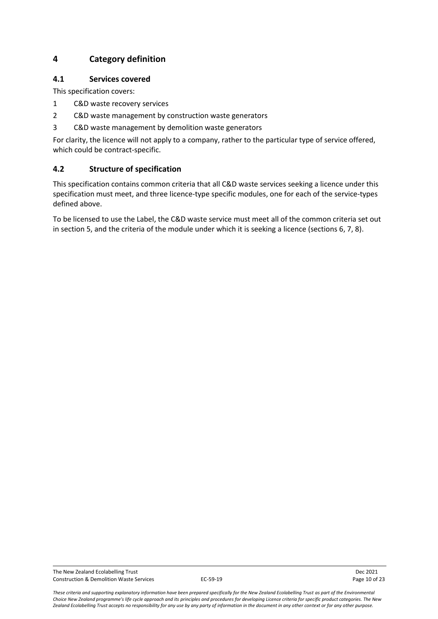## <span id="page-9-0"></span>**4 Category definition**

#### <span id="page-9-1"></span>**4.1 Services covered**

This specification covers:

- 1 C&D waste recovery services
- 2 C&D waste management by construction waste generators
- 3 C&D waste management by demolition waste generators

For clarity, the licence will not apply to a company, rather to the particular type of service offered, which could be contract-specific.

## <span id="page-9-2"></span>**4.2 Structure of specification**

This specification contains common criteria that all C&D waste services seeking a licence under this specification must meet, and three licence-type specific modules, one for each of the service-types defined above.

To be licensed to use the Label, the C&D waste service must meet all of the common criteria set out in section 5, and the criteria of the module under which it is seeking a licence (sections 6, 7, 8).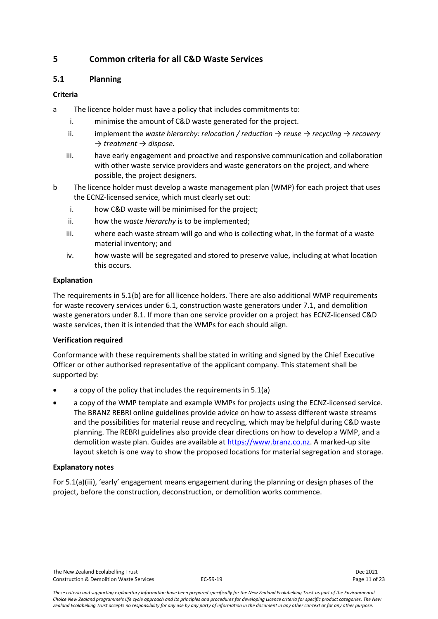## <span id="page-10-0"></span>**5 Common criteria for all C&D Waste Services**

#### <span id="page-10-1"></span>**5.1 Planning**

#### **Criteria**

- a The licence holder must have a policy that includes commitments to:
	- i. minimise the amount of C&D waste generated for the project.
	- ii. implement the *waste hierarchy: relocation / reduction → reuse → recycling → recovery → treatment → dispose.*
	- iii. have early engagement and proactive and responsive communication and collaboration with other waste service providers and waste generators on the project, and where possible, the project designers.
- b The licence holder must develop a waste management plan (WMP) for each project that uses the ECNZ-licensed service, which must clearly set out:
	- i. how C&D waste will be minimised for the project;
	- ii. how the *waste hierarchy* is to be implemented;
	- iii. where each waste stream will go and who is collecting what, in the format of a waste material inventory; and
	- iv. how waste will be segregated and stored to preserve value, including at what location this occurs.

#### **Explanation**

The requirements in 5.1(b) are for all licence holders. There are also additional WMP requirements for waste recovery services under 6.1, construction waste generators under 7.1, and demolition waste generators under 8.1. If more than one service provider on a project has ECNZ-licensed C&D waste services, then it is intended that the WMPs for each should align.

#### **Verification required**

Conformance with these requirements shall be stated in writing and signed by the Chief Executive Officer or other authorised representative of the applicant company. This statement shall be supported by:

- a copy of the policy that includes the requirements in 5.1(a)
- a copy of the WMP template and example WMPs for projects using the ECNZ-licensed service. The BRANZ REBRI online guidelines provide advice on how to assess different waste streams and the possibilities for material reuse and recycling, which may be helpful during C&D waste planning. The REBRI guidelines also provide clear directions on how to develop a WMP, and a demolition waste plan. Guides are available at [https://www.branz.co.nz.](https://www.branz.co.nz/) A marked-up site layout sketch is one way to show the proposed locations for material segregation and storage.

#### **Explanatory notes**

For 5.1(a)(iii), 'early' engagement means engagement during the planning or design phases of the project, before the construction, deconstruction, or demolition works commence.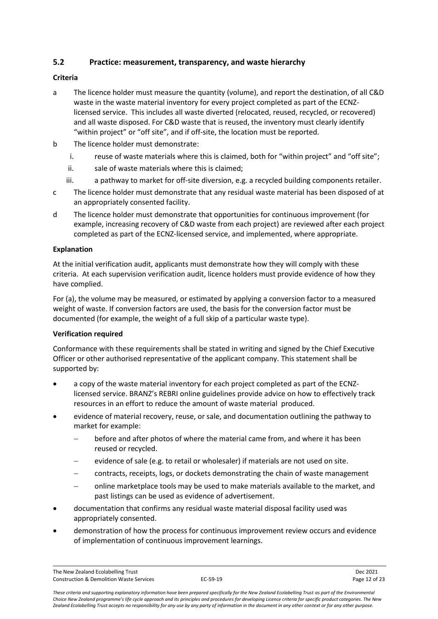## <span id="page-11-0"></span>**5.2 Practice: measurement, transparency, and waste hierarchy**

### **Criteria**

- a The licence holder must measure the quantity (volume), and report the destination, of all C&D waste in the waste material inventory for every project completed as part of the ECNZlicensed service. This includes all waste diverted (relocated, reused, recycled, or recovered) and all waste disposed. For C&D waste that is reused, the inventory must clearly identify "within project" or "off site", and if off-site, the location must be reported.
- b The licence holder must demonstrate:
	- i. reuse of waste materials where this is claimed, both for "within project" and "off site";
	- ii. sale of waste materials where this is claimed;
	- iii. a pathway to market for off-site diversion, e.g. a recycled building components retailer.
- c The licence holder must demonstrate that any residual waste material has been disposed of at an appropriately consented facility.
- d The licence holder must demonstrate that opportunities for continuous improvement (for example, increasing recovery of C&D waste from each project) are reviewed after each project completed as part of the ECNZ-licensed service, and implemented, where appropriate.

### **Explanation**

At the initial verification audit, applicants must demonstrate how they will comply with these criteria. At each supervision verification audit, licence holders must provide evidence of how they have complied.

For (a), the volume may be measured, or estimated by applying a conversion factor to a measured weight of waste. If conversion factors are used, the basis for the conversion factor must be documented (for example, the weight of a full skip of a particular waste type).

#### **Verification required**

Conformance with these requirements shall be stated in writing and signed by the Chief Executive Officer or other authorised representative of the applicant company. This statement shall be supported by:

- a copy of the waste material inventory for each project completed as part of the ECNZlicensed service. BRANZ's REBRI online guidelines provide advice on how to effectively track resources in an effort to reduce the amount of waste material produced.
- evidence of material recovery, reuse, or sale, and documentation outlining the pathway to market for example:
	- before and after photos of where the material came from, and where it has been reused or recycled.
	- evidence of sale (e.g. to retail or wholesaler) if materials are not used on site.
	- − contracts, receipts, logs, or dockets demonstrating the chain of waste management
	- − online marketplace tools may be used to make materials available to the market, and past listings can be used as evidence of advertisement.
- documentation that confirms any residual waste material disposal facility used was appropriately consented.
- demonstration of how the process for continuous improvement review occurs and evidence of implementation of continuous improvement learnings.

The New Zealand Ecolabelling Trust Dec 2021 Construction & Demolition Waste Services **EC-59-19** Page 12 of 23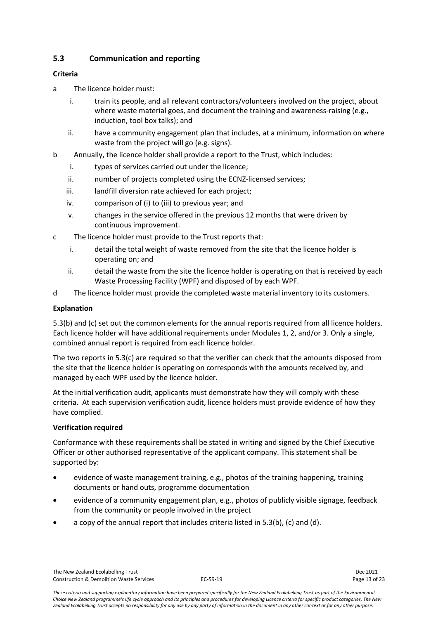## <span id="page-12-0"></span>**5.3 Communication and reporting**

### **Criteria**

- a The licence holder must:
	- i. train its people, and all relevant contractors/volunteers involved on the project, about where waste material goes, and document the training and awareness-raising (e.g., induction, tool box talks); and
	- ii. have a community engagement plan that includes, at a minimum, information on where waste from the project will go (e.g. signs).
- b Annually, the licence holder shall provide a report to the Trust, which includes:
	- i. types of services carried out under the licence;
	- ii. number of projects completed using the ECNZ-licensed services;
	- iii. landfill diversion rate achieved for each project:
	- iv. comparison of (i) to (iii) to previous year; and
	- v. changes in the service offered in the previous 12 months that were driven by continuous improvement.
- c The licence holder must provide to the Trust reports that:
	- i. detail the total weight of waste removed from the site that the licence holder is operating on; and
	- ii. detail the waste from the site the licence holder is operating on that is received by each Waste Processing Facility (WPF) and disposed of by each WPF.
- d The licence holder must provide the completed waste material inventory to its customers.

## **Explanation**

5.3(b) and (c) set out the common elements for the annual reports required from all licence holders. Each licence holder will have additional requirements under Modules 1, 2, and/or 3. Only a single, combined annual report is required from each licence holder.

The two reports in 5.3(c) are required so that the verifier can check that the amounts disposed from the site that the licence holder is operating on corresponds with the amounts received by, and managed by each WPF used by the licence holder.

At the initial verification audit, applicants must demonstrate how they will comply with these criteria. At each supervision verification audit, licence holders must provide evidence of how they have complied.

#### **Verification required**

Conformance with these requirements shall be stated in writing and signed by the Chief Executive Officer or other authorised representative of the applicant company. This statement shall be supported by:

- evidence of waste management training, e.g., photos of the training happening, training documents or hand outs, programme documentation
- evidence of a community engagement plan, e.g., photos of publicly visible signage, feedback from the community or people involved in the project
- a copy of the annual report that includes criteria listed in 5.3(b), (c) and (d).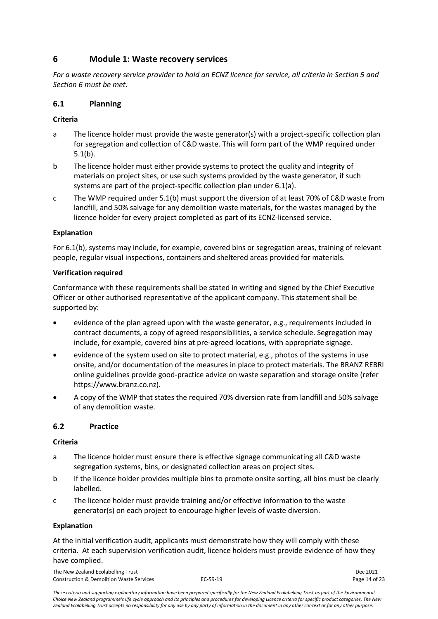## <span id="page-13-0"></span>**6 Module 1: Waste recovery services**

*For a waste recovery service provider to hold an ECNZ licence for service, all criteria in Section 5 and Section 6 must be met.* 

#### <span id="page-13-1"></span>**6.1 Planning**

#### **Criteria**

- a The licence holder must provide the waste generator(s) with a project-specific collection plan for segregation and collection of C&D waste. This will form part of the WMP required under 5.1(b).
- b The licence holder must either provide systems to protect the quality and integrity of materials on project sites, or use such systems provided by the waste generator, if such systems are part of the project-specific collection plan under 6.1(a).
- c The WMP required under 5.1(b) must support the diversion of at least 70% of C&D waste from landfill, and 50% salvage for any demolition waste materials, for the wastes managed by the licence holder for every project completed as part of its ECNZ-licensed service.

#### **Explanation**

For 6.1(b), systems may include, for example, covered bins or segregation areas, training of relevant people, regular visual inspections, containers and sheltered areas provided for materials.

#### **Verification required**

Conformance with these requirements shall be stated in writing and signed by the Chief Executive Officer or other authorised representative of the applicant company. This statement shall be supported by:

- evidence of the plan agreed upon with the waste generator, e.g., requirements included in contract documents, a copy of agreed responsibilities, a service schedule. Segregation may include, for example, covered bins at pre-agreed locations, with appropriate signage.
- evidence of the system used on site to protect material, e.g., photos of the systems in use onsite, and/or documentation of the measures in place to protect materials. The BRANZ REBRI online guidelines provide good-practice advice on waste separation and storage onsite (refer https://www.branz.co.nz).
- A copy of the WMP that states the required 70% diversion rate from landfill and 50% salvage of any demolition waste.

## <span id="page-13-2"></span>**6.2 Practice**

#### **Criteria**

- a The licence holder must ensure there is effective signage communicating all C&D waste segregation systems, bins, or designated collection areas on project sites.
- b If the licence holder provides multiple bins to promote onsite sorting, all bins must be clearly labelled.
- c The licence holder must provide training and/or effective information to the waste generator(s) on each project to encourage higher levels of waste diversion.

#### **Explanation**

At the initial verification audit, applicants must demonstrate how they will comply with these criteria. At each supervision verification audit, licence holders must provide evidence of how they have complied.

The New Zealand Ecolabelling Trust Dec 2021 Construction & Demolition Waste Services **EC-59-19** Page 14 of 23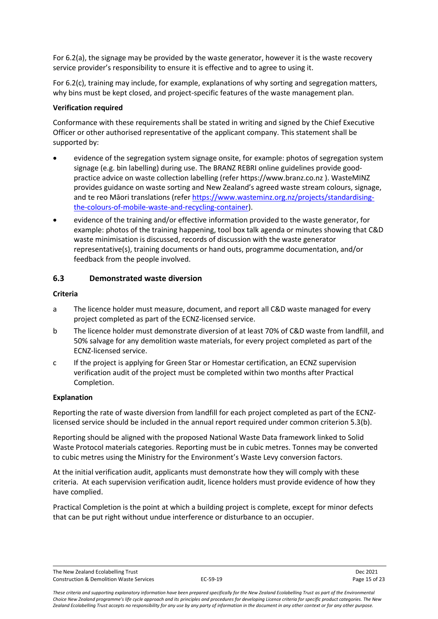For 6.2(a), the signage may be provided by the waste generator, however it is the waste recovery service provider's responsibility to ensure it is effective and to agree to using it.

For 6.2(c), training may include, for example, explanations of why sorting and segregation matters, why bins must be kept closed, and project-specific features of the waste management plan.

#### **Verification required**

Conformance with these requirements shall be stated in writing and signed by the Chief Executive Officer or other authorised representative of the applicant company. This statement shall be supported by:

- evidence of the segregation system signage onsite, for example: photos of segregation system signage (e.g. bin labelling) during use. The BRANZ REBRI online guidelines provide goodpractice advice on waste collection labelling (refer https://www.branz.co.nz ). WasteMINZ provides guidance on waste sorting and New Zealand's agreed waste stream colours, signage, and te reo Māori translations (refe[r https://www.wasteminz.org.nz/projects/standardising](https://www.wasteminz.org.nz/projects/standardising-the-colours-of-mobile-waste-and-recycling-container)[the-colours-of-mobile-waste-and-recycling-container\)](https://www.wasteminz.org.nz/projects/standardising-the-colours-of-mobile-waste-and-recycling-container).
- evidence of the training and/or effective information provided to the waste generator, for example: photos of the training happening, tool box talk agenda or minutes showing that C&D waste minimisation is discussed, records of discussion with the waste generator representative(s), training documents or hand outs, programme documentation, and/or feedback from the people involved.

#### <span id="page-14-0"></span>**6.3 Demonstrated waste diversion**

#### **Criteria**

- a The licence holder must measure, document, and report all C&D waste managed for every project completed as part of the ECNZ-licensed service.
- b The licence holder must demonstrate diversion of at least 70% of C&D waste from landfill, and 50% salvage for any demolition waste materials, for every project completed as part of the ECNZ-licensed service.
- c If the project is applying for Green Star or Homestar certification, an ECNZ supervision verification audit of the project must be completed within two months after Practical Completion.

#### **Explanation**

Reporting the rate of waste diversion from landfill for each project completed as part of the ECNZlicensed service should be included in the annual report required under common criterion 5.3(b).

Reporting should be aligned with the proposed National Waste Data framework linked to Solid Waste Protocol materials categories. Reporting must be in cubic metres. Tonnes may be converted to cubic metres using the Ministry for the Environment's Waste Levy conversion factors.

At the initial verification audit, applicants must demonstrate how they will comply with these criteria. At each supervision verification audit, licence holders must provide evidence of how they have complied.

Practical Completion is the point at which a building project is complete, except for minor defects that can be put right without undue interference or disturbance to an occupier.

The New Zealand Ecolabelling Trust Dec 2021 Construction & Demolition Waste Services **EC-59-19** Page 15 of 23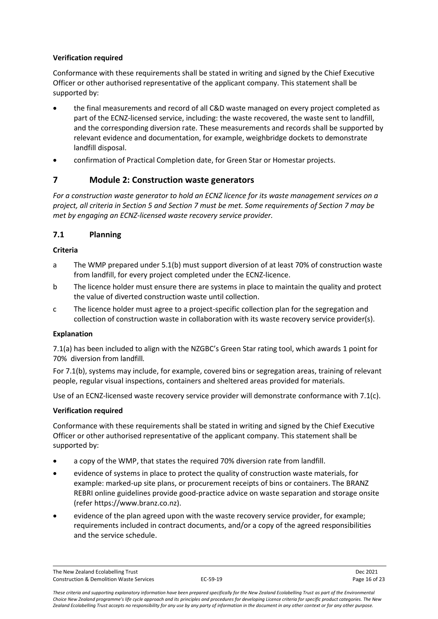#### **Verification required**

Conformance with these requirements shall be stated in writing and signed by the Chief Executive Officer or other authorised representative of the applicant company. This statement shall be supported by:

- the final measurements and record of all C&D waste managed on every project completed as part of the ECNZ-licensed service, including: the waste recovered, the waste sent to landfill, and the corresponding diversion rate. These measurements and records shall be supported by relevant evidence and documentation, for example, weighbridge dockets to demonstrate landfill disposal.
- confirmation of Practical Completion date, for Green Star or Homestar projects.

## <span id="page-15-0"></span>**7 Module 2: Construction waste generators**

*For a construction waste generator to hold an ECNZ licence for its waste management services on a project, all criteria in Section 5 and Section 7 must be met. Some requirements of Section 7 may be met by engaging an ECNZ-licensed waste recovery service provider.*

## <span id="page-15-1"></span>**7.1 Planning**

## **Criteria**

- a The WMP prepared under 5.1(b) must support diversion of at least 70% of construction waste from landfill, for every project completed under the ECNZ-licence.
- b The licence holder must ensure there are systems in place to maintain the quality and protect the value of diverted construction waste until collection.
- c The licence holder must agree to a project-specific collection plan for the segregation and collection of construction waste in collaboration with its waste recovery service provider(s).

#### **Explanation**

7.1(a) has been included to align with the NZGBC's Green Star rating tool, which awards 1 point for 70% diversion from landfill*.* 

For 7.1(b), systems may include, for example, covered bins or segregation areas, training of relevant people, regular visual inspections, containers and sheltered areas provided for materials.

Use of an ECNZ-licensed waste recovery service provider will demonstrate conformance with 7.1(c).

## **Verification required**

Conformance with these requirements shall be stated in writing and signed by the Chief Executive Officer or other authorised representative of the applicant company. This statement shall be supported by:

- a copy of the WMP, that states the required 70% diversion rate from landfill.
- evidence of systems in place to protect the quality of construction waste materials, for example: marked-up site plans, or procurement receipts of bins or containers. The BRANZ REBRI online guidelines provide good-practice advice on waste separation and storage onsite (refer https://www.branz.co.nz).
- evidence of the plan agreed upon with the waste recovery service provider, for example; requirements included in contract documents, and/or a copy of the agreed responsibilities and the service schedule.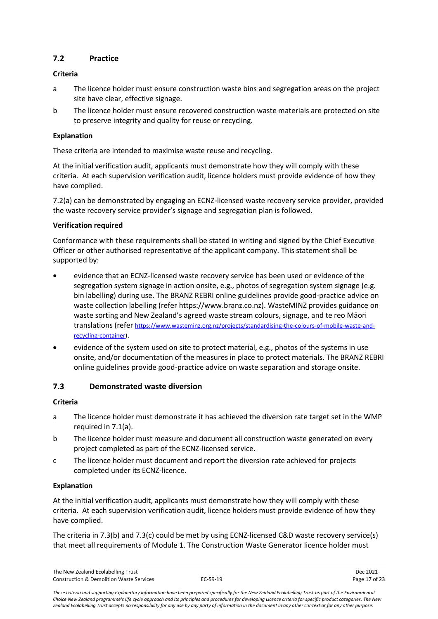## <span id="page-16-0"></span>**7.2 Practice**

## **Criteria**

- a The licence holder must ensure construction waste bins and segregation areas on the project site have clear, effective signage.
- b The licence holder must ensure recovered construction waste materials are protected on site to preserve integrity and quality for reuse or recycling.

### **Explanation**

These criteria are intended to maximise waste reuse and recycling.

At the initial verification audit, applicants must demonstrate how they will comply with these criteria. At each supervision verification audit, licence holders must provide evidence of how they have complied.

7.2(a) can be demonstrated by engaging an ECNZ-licensed waste recovery service provider, provided the waste recovery service provider's signage and segregation plan is followed.

### **Verification required**

Conformance with these requirements shall be stated in writing and signed by the Chief Executive Officer or other authorised representative of the applicant company. This statement shall be supported by:

- evidence that an ECNZ-licensed waste recovery service has been used or evidence of the segregation system signage in action onsite, e.g., photos of segregation system signage (e.g. bin labelling) during use. The BRANZ REBRI online guidelines provide good-practice advice on waste collection labelling (refer https://www.branz.co.nz). WasteMINZ provides guidance on waste sorting and New Zealand's agreed waste stream colours, signage, and te reo Māori translations (refer [https://www.wasteminz.org.nz/projects/standardising-the-colours-of-mobile-waste-and](https://www.wasteminz.org.nz/projects/standardising-the-colours-of-mobile-waste-and-recycling-container)[recycling-container\)](https://www.wasteminz.org.nz/projects/standardising-the-colours-of-mobile-waste-and-recycling-container).
- evidence of the system used on site to protect material, e.g., photos of the systems in use onsite, and/or documentation of the measures in place to protect materials. The BRANZ REBRI online guidelines provide good-practice advice on waste separation and storage onsite.

## <span id="page-16-1"></span>**7.3 Demonstrated waste diversion**

## **Criteria**

- a The licence holder must demonstrate it has achieved the diversion rate target set in the WMP required in 7.1(a).
- b The licence holder must measure and document all construction waste generated on every project completed as part of the ECNZ-licensed service.
- c The licence holder must document and report the diversion rate achieved for projects completed under its ECNZ-licence.

## **Explanation**

At the initial verification audit, applicants must demonstrate how they will comply with these criteria. At each supervision verification audit, licence holders must provide evidence of how they have complied.

The criteria in 7.3(b) and 7.3(c) could be met by using ECNZ-licensed C&D waste recovery service(s) that meet all requirements of Module 1. The Construction Waste Generator licence holder must

The New Zealand Ecolabelling Trust Dec 2021 Construction & Demolition Waste Services **EC-59-19** Page 17 of 23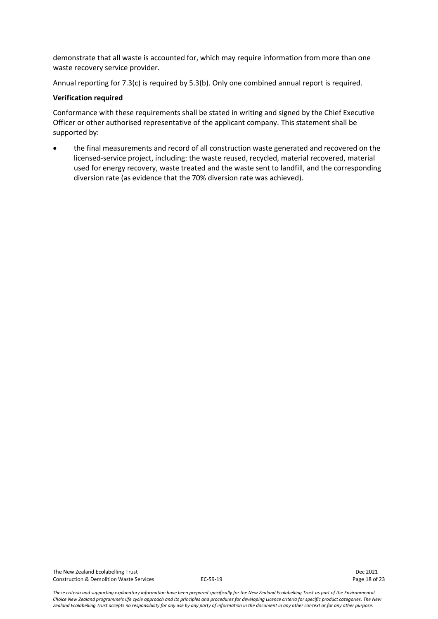demonstrate that all waste is accounted for, which may require information from more than one waste recovery service provider.

Annual reporting for 7.3(c) is required by 5.3(b). Only one combined annual report is required.

#### **Verification required**

Conformance with these requirements shall be stated in writing and signed by the Chief Executive Officer or other authorised representative of the applicant company. This statement shall be supported by:

• the final measurements and record of all construction waste generated and recovered on the licensed-service project, including: the waste reused, recycled, material recovered, material used for energy recovery, waste treated and the waste sent to landfill, and the corresponding diversion rate (as evidence that the 70% diversion rate was achieved).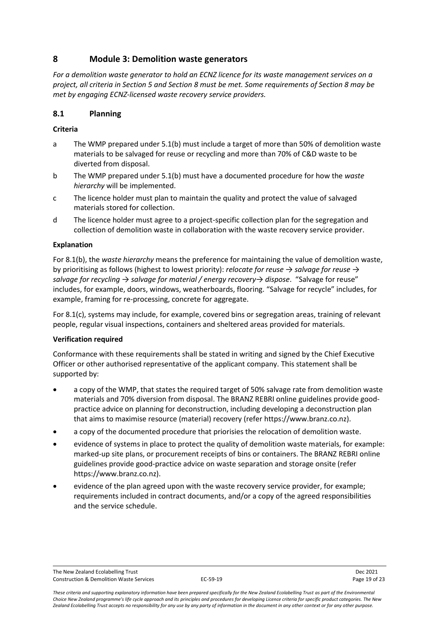## <span id="page-18-0"></span>**8 Module 3: Demolition waste generators**

*For a demolition waste generator to hold an ECNZ licence for its waste management services on a project, all criteria in Section 5 and Section 8 must be met. Some requirements of Section 8 may be met by engaging ECNZ-licensed waste recovery service providers.*

## <span id="page-18-1"></span>**8.1 Planning**

#### **Criteria**

- a The WMP prepared under 5.1(b) must include a target of more than 50% of demolition waste materials to be salvaged for reuse or recycling and more than 70% of C&D waste to be diverted from disposal.
- b The WMP prepared under 5.1(b) must have a documented procedure for how the *waste hierarchy* will be implemented.
- c The licence holder must plan to maintain the quality and protect the value of salvaged materials stored for collection.
- d The licence holder must agree to a project-specific collection plan for the segregation and collection of demolition waste in collaboration with the waste recovery service provider.

#### **Explanation**

For 8.1(b), the *waste hierarchy* means the preference for maintaining the value of demolition waste, by prioritising as follows (highest to lowest priority): *relocate for reuse → salvage for reuse → salvage for recycling → salvage for material / energy recovery→ dispose*. "Salvage for reuse" includes, for example, doors, windows, weatherboards, flooring. "Salvage for recycle" includes, for example, framing for re-processing, concrete for aggregate.

For 8.1(c), systems may include, for example, covered bins or segregation areas, training of relevant people, regular visual inspections, containers and sheltered areas provided for materials.

#### **Verification required**

Conformance with these requirements shall be stated in writing and signed by the Chief Executive Officer or other authorised representative of the applicant company. This statement shall be supported by:

- a copy of the WMP, that states the required target of 50% salvage rate from demolition waste materials and 70% diversion from disposal. The BRANZ REBRI online guidelines provide goodpractice advice on planning for deconstruction, including developing a deconstruction plan that aims to maximise resource (material) recovery (refer https://www.branz.co.nz).
- a copy of the documented procedure that priorisies the relocation of demolition waste.
- evidence of systems in place to protect the quality of demolition waste materials, for example: marked-up site plans, or procurement receipts of bins or containers. The BRANZ REBRI online guidelines provide good-practice advice on waste separation and storage onsite (refer https://www.branz.co.nz).
- evidence of the plan agreed upon with the waste recovery service provider, for example; requirements included in contract documents, and/or a copy of the agreed responsibilities and the service schedule.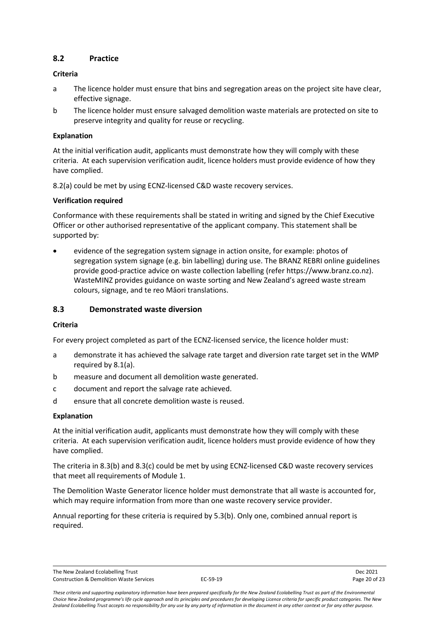## <span id="page-19-0"></span>**8.2 Practice**

#### **Criteria**

- a The licence holder must ensure that bins and segregation areas on the project site have clear, effective signage.
- b The licence holder must ensure salvaged demolition waste materials are protected on site to preserve integrity and quality for reuse or recycling.

#### **Explanation**

At the initial verification audit, applicants must demonstrate how they will comply with these criteria. At each supervision verification audit, licence holders must provide evidence of how they have complied.

8.2(a) could be met by using ECNZ-licensed C&D waste recovery services.

#### **Verification required**

Conformance with these requirements shall be stated in writing and signed by the Chief Executive Officer or other authorised representative of the applicant company. This statement shall be supported by:

• evidence of the segregation system signage in action onsite, for example: photos of segregation system signage (e.g. bin labelling) during use. The BRANZ REBRI online guidelines provide good-practice advice on waste collection labelling (refer https://www.branz.co.nz). WasteMINZ provides guidance on waste sorting and New Zealand's agreed waste stream colours, signage, and te reo Māori translations.

#### <span id="page-19-1"></span>**8.3 Demonstrated waste diversion**

#### **Criteria**

For every project completed as part of the ECNZ-licensed service, the licence holder must:

- a demonstrate it has achieved the salvage rate target and diversion rate target set in the WMP required by 8.1(a).
- b measure and document all demolition waste generated.
- c document and report the salvage rate achieved.
- d ensure that all concrete demolition waste is reused.

#### **Explanation**

At the initial verification audit, applicants must demonstrate how they will comply with these criteria. At each supervision verification audit, licence holders must provide evidence of how they have complied.

The criteria in 8.3(b) and 8.3(c) could be met by using ECNZ-licensed C&D waste recovery services that meet all requirements of Module 1.

The Demolition Waste Generator licence holder must demonstrate that all waste is accounted for, which may require information from more than one waste recovery service provider.

Annual reporting for these criteria is required by 5.3(b). Only one, combined annual report is required.

The New Zealand Ecolabelling Trust Dec 2021 Construction & Demolition Waste Services **EC-59-19** Page 20 of 23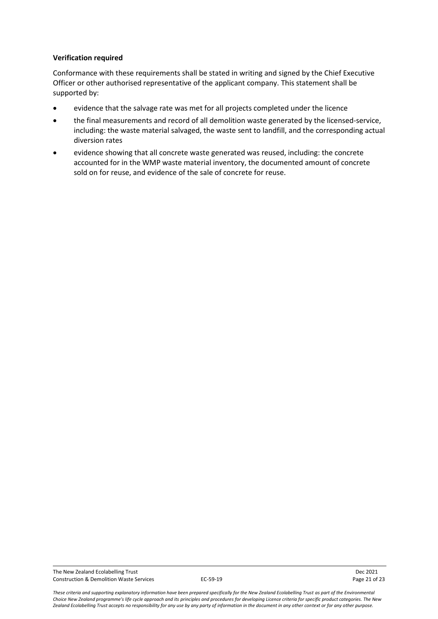#### **Verification required**

Conformance with these requirements shall be stated in writing and signed by the Chief Executive Officer or other authorised representative of the applicant company. This statement shall be supported by:

- evidence that the salvage rate was met for all projects completed under the licence
- the final measurements and record of all demolition waste generated by the licensed-service, including: the waste material salvaged, the waste sent to landfill, and the corresponding actual diversion rates
- evidence showing that all concrete waste generated was reused, including: the concrete accounted for in the WMP waste material inventory, the documented amount of concrete sold on for reuse, and evidence of the sale of concrete for reuse.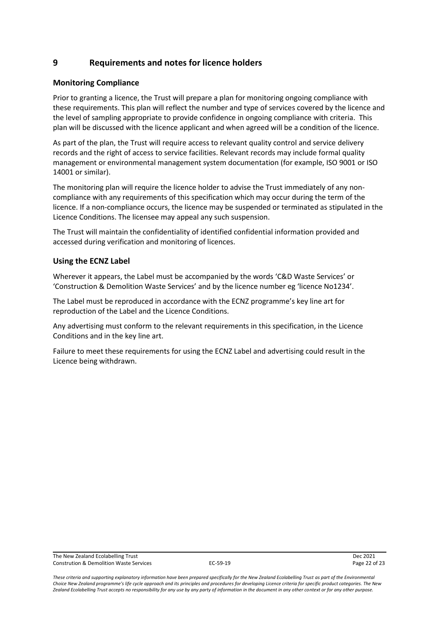## <span id="page-21-0"></span>**9 Requirements and notes for licence holders**

#### <span id="page-21-1"></span>**Monitoring Compliance**

Prior to granting a licence, the Trust will prepare a plan for monitoring ongoing compliance with these requirements. This plan will reflect the number and type of services covered by the licence and the level of sampling appropriate to provide confidence in ongoing compliance with criteria. This plan will be discussed with the licence applicant and when agreed will be a condition of the licence.

As part of the plan, the Trust will require access to relevant quality control and service delivery records and the right of access to service facilities. Relevant records may include formal quality management or environmental management system documentation (for example, ISO 9001 or ISO 14001 or similar).

The monitoring plan will require the licence holder to advise the Trust immediately of any noncompliance with any requirements of this specification which may occur during the term of the licence. If a non-compliance occurs, the licence may be suspended or terminated as stipulated in the Licence Conditions. The licensee may appeal any such suspension.

The Trust will maintain the confidentiality of identified confidential information provided and accessed during verification and monitoring of licences.

#### <span id="page-21-2"></span>**Using the ECNZ Label**

Wherever it appears, the Label must be accompanied by the words 'C&D Waste Services' or 'Construction & Demolition Waste Services' and by the licence number eg 'licence No1234'.

The Label must be reproduced in accordance with the ECNZ programme's key line art for reproduction of the Label and the Licence Conditions.

Any advertising must conform to the relevant requirements in this specification, in the Licence Conditions and in the key line art.

Failure to meet these requirements for using the ECNZ Label and advertising could result in the Licence being withdrawn.